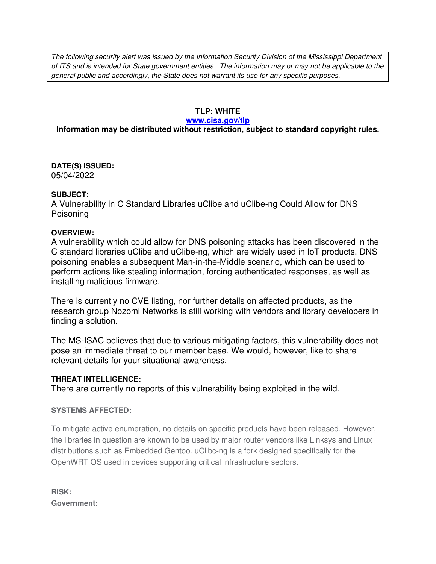The following security alert was issued by the Information Security Division of the Mississippi Department of ITS and is intended for State government entities. The information may or may not be applicable to the general public and accordingly, the State does not warrant its use for any specific purposes.

## **TLP: WHITE**

#### **www.cisa.gov/tlp**

# **Information may be distributed without restriction, subject to standard copyright rules.**

**DATE(S) ISSUED:** 05/04/2022

## **SUBJECT:**

A Vulnerability in C Standard Libraries uClibe and uClibe-ng Could Allow for DNS Poisoning

## **OVERVIEW:**

A vulnerability which could allow for DNS poisoning attacks has been discovered in the C standard libraries uClibe and uClibe-ng, which are widely used in IoT products. DNS poisoning enables a subsequent Man-in-the-Middle scenario, which can be used to perform actions like stealing information, forcing authenticated responses, as well as installing malicious firmware.

There is currently no CVE listing, nor further details on affected products, as the research group Nozomi Networks is still working with vendors and library developers in finding a solution.

The MS-ISAC believes that due to various mitigating factors, this vulnerability does not pose an immediate threat to our member base. We would, however, like to share relevant details for your situational awareness.

## **THREAT INTELLIGENCE:**

There are currently no reports of this vulnerability being exploited in the wild.

## **SYSTEMS AFFECTED:**

To mitigate active enumeration, no details on specific products have been released. However, the libraries in question are known to be used by major router vendors like Linksys and Linux distributions such as Embedded Gentoo. uClibc-ng is a fork designed specifically for the OpenWRT OS used in devices supporting critical infrastructure sectors.

| <b>RISK:</b> |  |
|--------------|--|
| Government:  |  |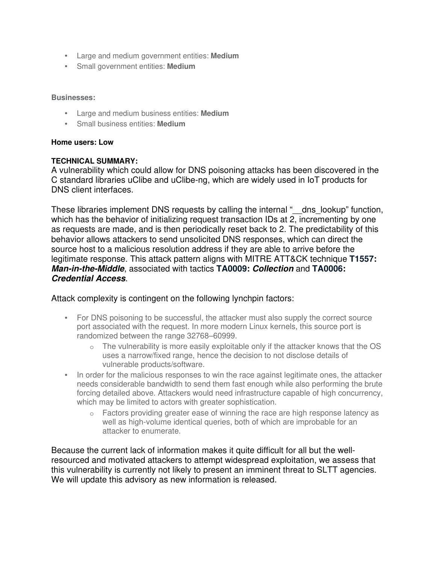- Large and medium government entities: **Medium**
- Small government entities: **Medium**

### **Businesses:**

- Large and medium business entities: **Medium**
- Small business entities: **Medium**

### **Home users: Low**

## **TECHNICAL SUMMARY:**

A vulnerability which could allow for DNS poisoning attacks has been discovered in the C standard libraries uClibe and uClibe-ng, which are widely used in IoT products for DNS client interfaces.

These libraries implement DNS requests by calling the internal " \_dns\_lookup" function, which has the behavior of initializing request transaction IDs at 2, incrementing by one as requests are made, and is then periodically reset back to 2. The predictability of this behavior allows attackers to send unsolicited DNS responses, which can direct the source host to a malicious resolution address if they are able to arrive before the legitimate response. This attack pattern aligns with MITRE ATT&CK technique **T1557:**  *Man-in-the-Middle*, associated with tactics **TA0009:** *Collection* and **TA0006:**  *Credential Access*.

## Attack complexity is contingent on the following lynchpin factors:

- For DNS poisoning to be successful, the attacker must also supply the correct source port associated with the request. In more modern Linux kernels, this source port is randomized between the range 32768–60999.
	- $\circ$  The vulnerability is more easily exploitable only if the attacker knows that the OS uses a narrow/fixed range, hence the decision to not disclose details of vulnerable products/software.
- In order for the malicious responses to win the race against legitimate ones, the attacker needs considerable bandwidth to send them fast enough while also performing the brute forcing detailed above. Attackers would need infrastructure capable of high concurrency, which may be limited to actors with greater sophistication.
	- o Factors providing greater ease of winning the race are high response latency as well as high-volume identical queries, both of which are improbable for an attacker to enumerate.

Because the current lack of information makes it quite difficult for all but the wellresourced and motivated attackers to attempt widespread exploitation, we assess that this vulnerability is currently not likely to present an imminent threat to SLTT agencies. We will update this advisory as new information is released.